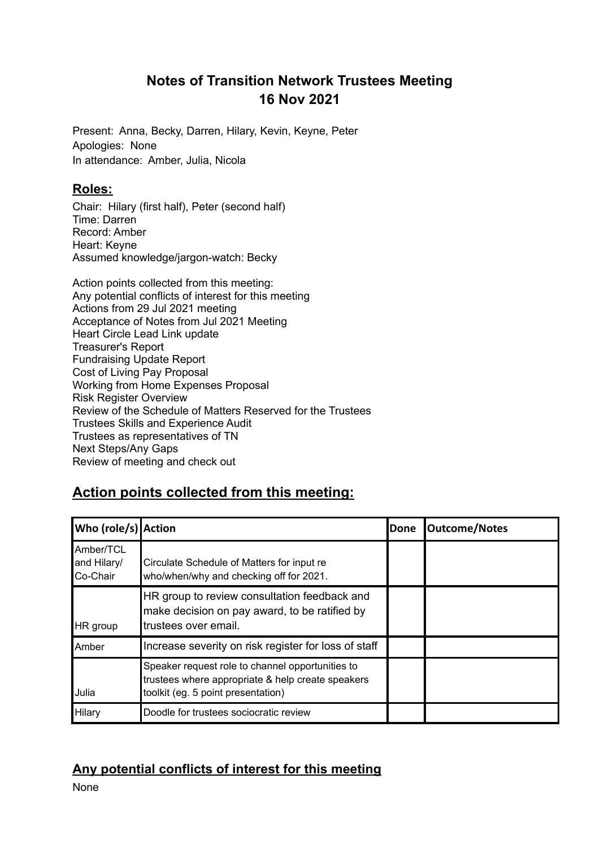# **Notes of Transition Network Trustees Meeting 16 Nov 2021**

Present: Anna, Becky, Darren, Hilary, Kevin, Keyne, Peter Apologies: None In attendance: Amber, Julia, Nicola

#### **Roles:**

Chair: Hilary (first half), Peter (second half) Time: Darren Record: Amber Heart: Keyne Assumed knowledge/jargon-watch: Becky

Action points collected from this meeting: Any potential conflicts of interest for this meeting Actions from 29 Jul 2021 meeting Acceptance of Notes from Jul 2021 Meeting Heart Circle Lead Link update Treasurer's Report Fundraising Update Report Cost of Living Pay Proposal Working from Home Expenses Proposal Risk Register Overview Review of the Schedule of Matters Reserved for the Trustees Trustees Skills and Experience Audit Trustees as representatives of TN Next Steps/Any Gaps Review of meeting and check out

# **Action points collected from this meeting:**

| Who (role/s) Action                  |                                                                                                                                             | Done | <b>Outcome/Notes</b> |
|--------------------------------------|---------------------------------------------------------------------------------------------------------------------------------------------|------|----------------------|
| Amber/TCL<br>and Hilary/<br>Co-Chair | Circulate Schedule of Matters for input re<br>who/when/why and checking off for 2021.                                                       |      |                      |
| HR group                             | HR group to review consultation feedback and<br>make decision on pay award, to be ratified by<br>trustees over email.                       |      |                      |
| Amber                                | Increase severity on risk register for loss of staff                                                                                        |      |                      |
| Julia                                | Speaker request role to channel opportunities to<br>trustees where appropriate & help create speakers<br>toolkit (eg. 5 point presentation) |      |                      |
| Hilary                               | Doodle for trustees sociocratic review                                                                                                      |      |                      |

# **Any potential conflicts of interest for this meeting**

None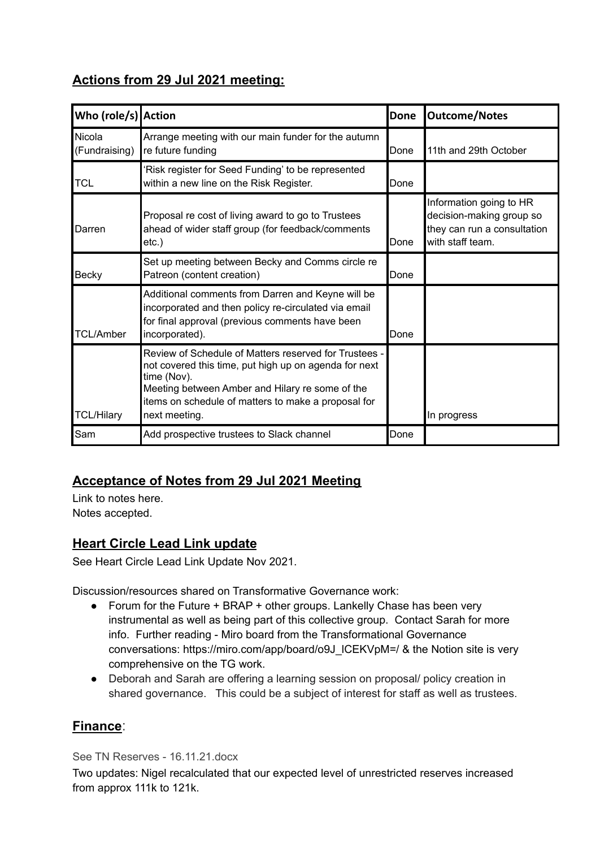# **Actions from 29 Jul 2021 meeting:**

| Who (role/s) Action     |                                                                                                                                                                                                                                                          | Done | <b>Outcome/Notes</b>                                                                                   |
|-------------------------|----------------------------------------------------------------------------------------------------------------------------------------------------------------------------------------------------------------------------------------------------------|------|--------------------------------------------------------------------------------------------------------|
| Nicola<br>(Fundraising) | Arrange meeting with our main funder for the autumn<br>re future funding                                                                                                                                                                                 | Done | 11th and 29th October                                                                                  |
| TCL                     | 'Risk register for Seed Funding' to be represented<br>within a new line on the Risk Register.                                                                                                                                                            | Done |                                                                                                        |
| Darren                  | Proposal re cost of living award to go to Trustees<br>ahead of wider staff group (for feedback/comments<br>$etc.$ )                                                                                                                                      | Done | Information going to HR<br>decision-making group so<br>they can run a consultation<br>with staff team. |
| Becky                   | Set up meeting between Becky and Comms circle re<br>Patreon (content creation)                                                                                                                                                                           | Done |                                                                                                        |
| <b>TCL/Amber</b>        | Additional comments from Darren and Keyne will be<br>incorporated and then policy re-circulated via email<br>for final approval (previous comments have been<br>incorporated).                                                                           | Done |                                                                                                        |
| <b>TCL/Hilary</b>       | Review of Schedule of Matters reserved for Trustees -<br>not covered this time, put high up on agenda for next<br>time (Nov).<br>Meeting between Amber and Hilary re some of the<br>items on schedule of matters to make a proposal for<br>next meeting. |      | In progress                                                                                            |
| Sam                     | Add prospective trustees to Slack channel                                                                                                                                                                                                                | Done |                                                                                                        |

# **Acceptance of Notes from 29 Jul 2021 Meeting**

Link to notes here. Notes accepted.

# **Heart Circle Lead Link update**

See Heart Circle Lead Link Update Nov 2021.

Discussion/resources shared on Transformative Governance work:

- Forum for the Future + BRAP + other groups. Lankelly Chase has been very instrumental as well as being part of this collective group. Contact Sarah for more info. Further reading - Miro board from the Transformational Governance conversations: https://miro.com/app/board/o9J\_ICEKVpM=/ & the Notion site is very comprehensive on the TG work.
- Deborah and Sarah are offering a learning session on proposal/ policy creation in shared governance. This could be a subject of interest for staff as well as trustees.

### **Finance**:

See TN Reserves - 16.11.21.docx

Two updates: Nigel recalculated that our expected level of unrestricted reserves increased from approx 111k to 121k.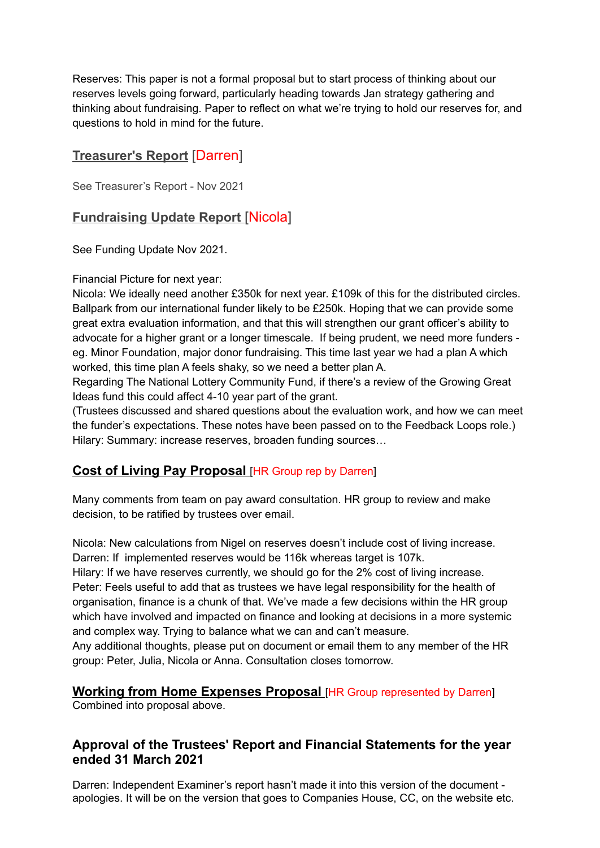Reserves: This paper is not a formal proposal but to start process of thinking about our reserves levels going forward, particularly heading towards Jan strategy gathering and thinking about fundraising. Paper to reflect on what we're trying to hold our reserves for, and questions to hold in mind for the future.

## **Treasurer's Report** [Darren]

See Treasurer's Report - Nov 2021

### **Fundraising Update Report** [Nicola]

See Funding Update Nov 2021.

Financial Picture for next year:

Nicola: We ideally need another £350k for next year. £109k of this for the distributed circles. Ballpark from our international funder likely to be £250k. Hoping that we can provide some great extra evaluation information, and that this will strengthen our grant officer's ability to advocate for a higher grant or a longer timescale. If being prudent, we need more funders eg. Minor Foundation, major donor fundraising. This time last year we had a plan A which worked, this time plan A feels shaky, so we need a better plan A.

Regarding The National Lottery Community Fund, if there's a review of the Growing Great Ideas fund this could affect 4-10 year part of the grant.

(Trustees discussed and shared questions about the evaluation work, and how we can meet the funder's expectations. These notes have been passed on to the Feedback Loops role.) Hilary: Summary: increase reserves, broaden funding sources…

### **Cost of Living Pay Proposal** [HR Group rep by Darren]

Many comments from team on pay award consultation. HR group to review and make decision, to be ratified by trustees over email.

Nicola: New calculations from Nigel on reserves doesn't include cost of living increase. Darren: If implemented reserves would be 116k whereas target is 107k.

Hilary: If we have reserves currently, we should go for the 2% cost of living increase. Peter: Feels useful to add that as trustees we have legal responsibility for the health of organisation, finance is a chunk of that. We've made a few decisions within the HR group which have involved and impacted on finance and looking at decisions in a more systemic and complex way. Trying to balance what we can and can't measure.

Any additional thoughts, please put on document or email them to any member of the HR group: Peter, Julia, Nicola or Anna. Consultation closes tomorrow.

**Working from Home Expenses Proposal** [HR Group represented by Darren] Combined into proposal above.

#### **Approval of the Trustees' Report and Financial Statements for the year ended 31 March 2021**

Darren: Independent Examiner's report hasn't made it into this version of the document apologies. It will be on the version that goes to Companies House, CC, on the website etc.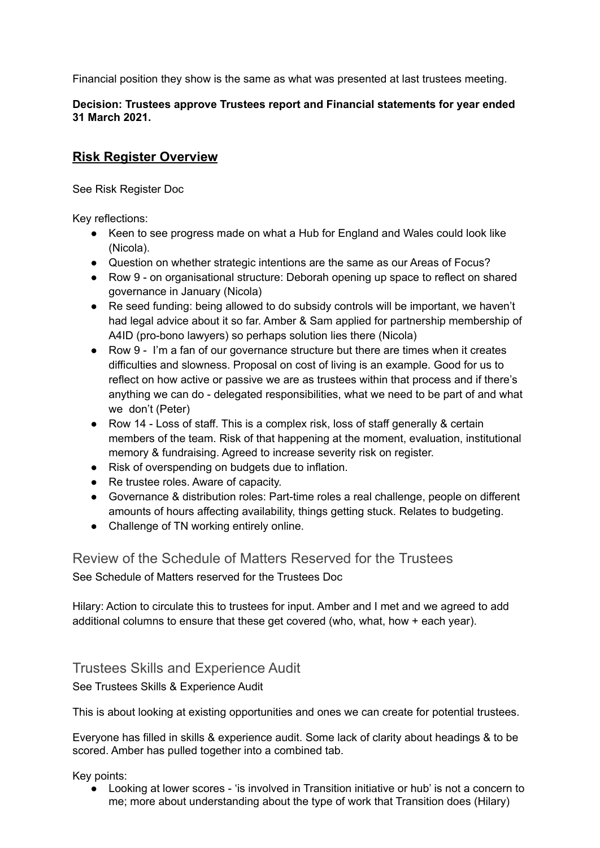Financial position they show is the same as what was presented at last trustees meeting.

#### **Decision: Trustees approve Trustees report and Financial statements for year ended 31 March 2021.**

### **Risk Register Overview**

See Risk Register Doc

Key reflections:

- Keen to see progress made on what a Hub for England and Wales could look like (Nicola).
- Question on whether strategic intentions are the same as our Areas of Focus?
- Row 9 on organisational structure: Deborah opening up space to reflect on shared governance in January (Nicola)
- Re seed funding: being allowed to do subsidy controls will be important, we haven't had legal advice about it so far. Amber & Sam applied for partnership membership of A4ID (pro-bono lawyers) so perhaps solution lies there (Nicola)
- Row 9 I'm a fan of our governance structure but there are times when it creates difficulties and slowness. Proposal on cost of living is an example. Good for us to reflect on how active or passive we are as trustees within that process and if there's anything we can do - delegated responsibilities, what we need to be part of and what we don't (Peter)
- Row 14 Loss of staff. This is a complex risk, loss of staff generally & certain members of the team. Risk of that happening at the moment, evaluation, institutional memory & fundraising. Agreed to increase severity risk on register.
- Risk of overspending on budgets due to inflation.
- Re trustee roles. Aware of capacity.
- Governance & distribution roles: Part-time roles a real challenge, people on different amounts of hours affecting availability, things getting stuck. Relates to budgeting.
- Challenge of TN working entirely online.

Review of the Schedule of Matters Reserved for the Trustees See Schedule of Matters reserved for the Trustees Doc

Hilary: Action to circulate this to trustees for input. Amber and I met and we agreed to add additional columns to ensure that these get covered (who, what, how + each year).

#### Trustees Skills and Experience Audit

See Trustees Skills & Experience Audit

This is about looking at existing opportunities and ones we can create for potential trustees.

Everyone has filled in skills & experience audit. Some lack of clarity about headings & to be scored. Amber has pulled together into a combined tab.

Key points:

● Looking at lower scores - 'is involved in Transition initiative or hub' is not a concern to me; more about understanding about the type of work that Transition does (Hilary)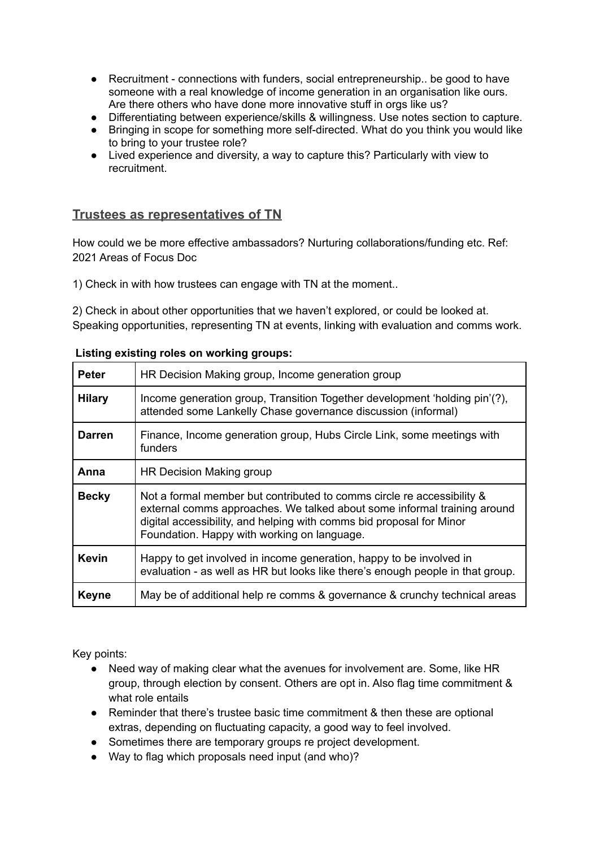- Recruitment connections with funders, social entrepreneurship.. be good to have someone with a real knowledge of income generation in an organisation like ours. Are there others who have done more innovative stuff in orgs like us?
- Differentiating between experience/skills & willingness. Use notes section to capture.<br>● Bringing in scope for something more self-directed. What do you think you would like
- Bringing in scope for something more self-directed. What do you think you would like to bring to your trustee role?
- Lived experience and diversity, a way to capture this? Particularly with view to recruitment.

#### **Trustees as representatives of TN**

How could we be more effective ambassadors? Nurturing collaborations/funding etc. Ref: 2021 Areas of Focus Doc

1) Check in with how trustees can engage with TN at the moment..

2) Check in about other opportunities that we haven't explored, or could be looked at. Speaking opportunities, representing TN at events, linking with evaluation and comms work.

| Listing existing roles on working groups: |  |  |  |  |
|-------------------------------------------|--|--|--|--|
|-------------------------------------------|--|--|--|--|

| <b>Peter</b>  | HR Decision Making group, Income generation group                                                                                                                                                                                                                         |
|---------------|---------------------------------------------------------------------------------------------------------------------------------------------------------------------------------------------------------------------------------------------------------------------------|
| <b>Hilary</b> | Income generation group, Transition Together development 'holding pin'(?),<br>attended some Lankelly Chase governance discussion (informal)                                                                                                                               |
| <b>Darren</b> | Finance, Income generation group, Hubs Circle Link, some meetings with<br>funders                                                                                                                                                                                         |
| Anna          | HR Decision Making group                                                                                                                                                                                                                                                  |
| <b>Becky</b>  | Not a formal member but contributed to comms circle re accessibility &<br>external comms approaches. We talked about some informal training around<br>digital accessibility, and helping with comms bid proposal for Minor<br>Foundation. Happy with working on language. |
| <b>Kevin</b>  | Happy to get involved in income generation, happy to be involved in<br>evaluation - as well as HR but looks like there's enough people in that group.                                                                                                                     |
| <b>Keyne</b>  | May be of additional help re comms & governance & crunchy technical areas                                                                                                                                                                                                 |

Key points:

- Need way of making clear what the avenues for involvement are. Some, like HR group, through election by consent. Others are opt in. Also flag time commitment & what role entails
- Reminder that there's trustee basic time commitment & then these are optional extras, depending on fluctuating capacity, a good way to feel involved.
- Sometimes there are temporary groups re project development.
- Way to flag which proposals need input (and who)?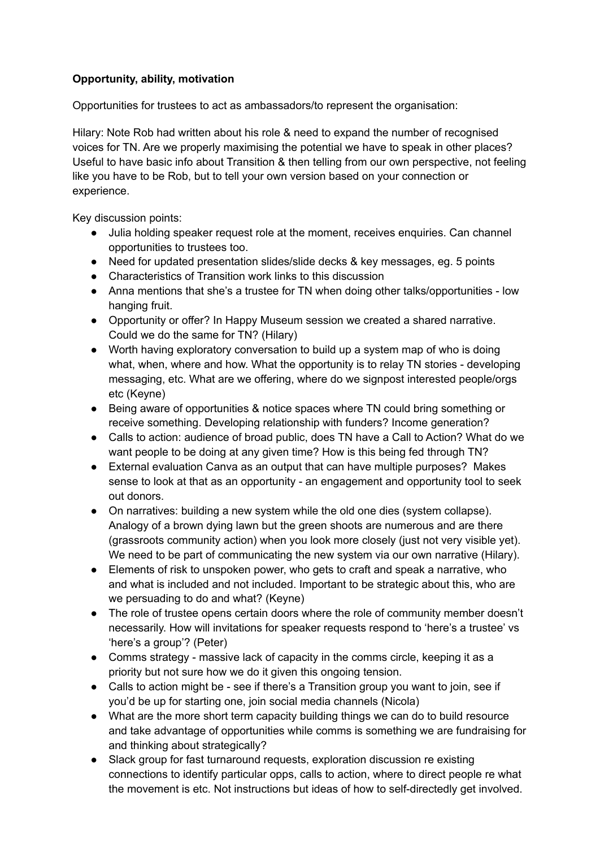#### **Opportunity, ability, motivation**

Opportunities for trustees to act as ambassadors/to represent the organisation:

Hilary: Note Rob had written about his role & need to expand the number of recognised voices for TN. Are we properly maximising the potential we have to speak in other places? Useful to have basic info about Transition & then telling from our own perspective, not feeling like you have to be Rob, but to tell your own version based on your connection or experience.

Key discussion points:

- Julia holding speaker request role at the moment, receives enquiries. Can channel opportunities to trustees too.
- Need for updated presentation slides/slide decks & key messages, eg. 5 points
- Characteristics of Transition work links to this discussion
- Anna mentions that she's a trustee for TN when doing other talks/opportunities low hanging fruit.
- Opportunity or offer? In Happy Museum session we created a shared narrative. Could we do the same for TN? (Hilary)
- Worth having exploratory conversation to build up a system map of who is doing what, when, where and how. What the opportunity is to relay TN stories - developing messaging, etc. What are we offering, where do we signpost interested people/orgs etc (Keyne)
- Being aware of opportunities & notice spaces where TN could bring something or receive something. Developing relationship with funders? Income generation?
- Calls to action: audience of broad public, does TN have a Call to Action? What do we want people to be doing at any given time? How is this being fed through TN?
- External evaluation Canva as an output that can have multiple purposes? Makes sense to look at that as an opportunity - an engagement and opportunity tool to seek out donors.
- On narratives: building a new system while the old one dies (system collapse). Analogy of a brown dying lawn but the green shoots are numerous and are there (grassroots community action) when you look more closely (just not very visible yet). We need to be part of communicating the new system via our own narrative (Hilary).
- Elements of risk to unspoken power, who gets to craft and speak a narrative, who and what is included and not included. Important to be strategic about this, who are we persuading to do and what? (Keyne)
- The role of trustee opens certain doors where the role of community member doesn't necessarily. How will invitations for speaker requests respond to 'here's a trustee' vs 'here's a group'? (Peter)
- Comms strategy massive lack of capacity in the comms circle, keeping it as a priority but not sure how we do it given this ongoing tension.
- Calls to action might be see if there's a Transition group you want to join, see if you'd be up for starting one, join social media channels (Nicola)
- What are the more short term capacity building things we can do to build resource and take advantage of opportunities while comms is something we are fundraising for and thinking about strategically?
- Slack group for fast turnaround requests, exploration discussion re existing connections to identify particular opps, calls to action, where to direct people re what the movement is etc. Not instructions but ideas of how to self-directedly get involved.